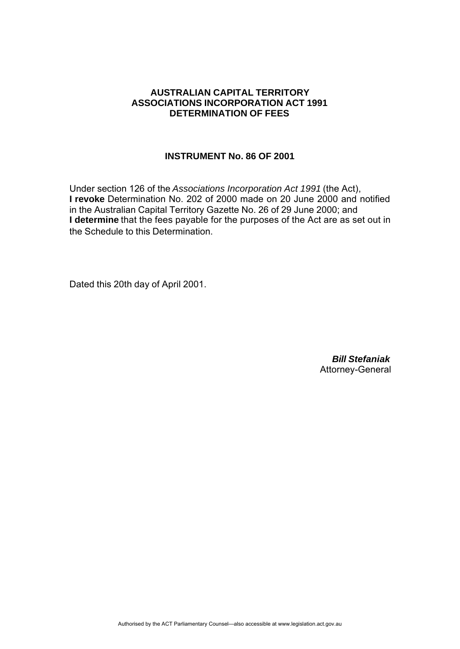## **AUSTRALIAN CAPITAL TERRITORY ASSOCIATIONS INCORPORATION ACT 1991 DETERMINATION OF FEES**

## **INSTRUMENT No. 86 OF 2001**

Under section 126 of the *Associations Incorporation Act 1991* (the Act), **I revoke** Determination No. 202 of 2000 made on 20 June 2000 and notified in the Australian Capital Territory Gazette No. 26 of 29 June 2000; and **I determine** that the fees payable for the purposes of the Act are as set out in the Schedule to this Determination.

Dated this 20th day of April 2001.

*Bill Stefaniak* Attorney-General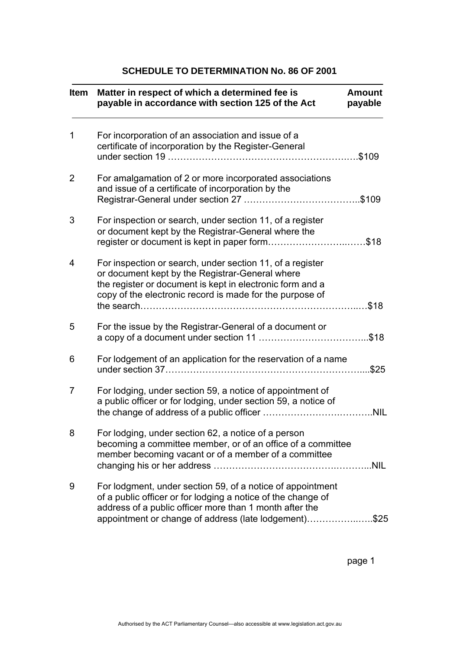## **SCHEDULE TO DETERMINATION No. 86 OF 2001**

| <b>Item</b> | Matter in respect of which a determined fee is<br>payable in accordance with section 125 of the Act                                                                                                                                            | <b>Amount</b><br>payable |
|-------------|------------------------------------------------------------------------------------------------------------------------------------------------------------------------------------------------------------------------------------------------|--------------------------|
| 1           | For incorporation of an association and issue of a<br>certificate of incorporation by the Register-General                                                                                                                                     | .\$109                   |
| 2           | For amalgamation of 2 or more incorporated associations<br>and issue of a certificate of incorporation by the                                                                                                                                  |                          |
| 3           | For inspection or search, under section 11, of a register<br>or document kept by the Registrar-General where the<br>register or document is kept in paper form\$18                                                                             |                          |
| 4           | For inspection or search, under section 11, of a register<br>or document kept by the Registrar-General where<br>the register or document is kept in electronic form and a<br>copy of the electronic record is made for the purpose of          |                          |
| 5           | For the issue by the Registrar-General of a document or                                                                                                                                                                                        |                          |
| 6           | For lodgement of an application for the reservation of a name                                                                                                                                                                                  | .\$25                    |
| 7           | For lodging, under section 59, a notice of appointment of<br>a public officer or for lodging, under section 59, a notice of                                                                                                                    |                          |
| 8           | For lodging, under section 62, a notice of a person<br>becoming a committee member, or of an office of a committee<br>member becoming vacant or of a member of a committee                                                                     |                          |
| 9           | For lodgment, under section 59, of a notice of appointment<br>of a public officer or for lodging a notice of the change of<br>address of a public officer more than 1 month after the<br>appointment or change of address (late lodgement)\$25 |                          |

page 1